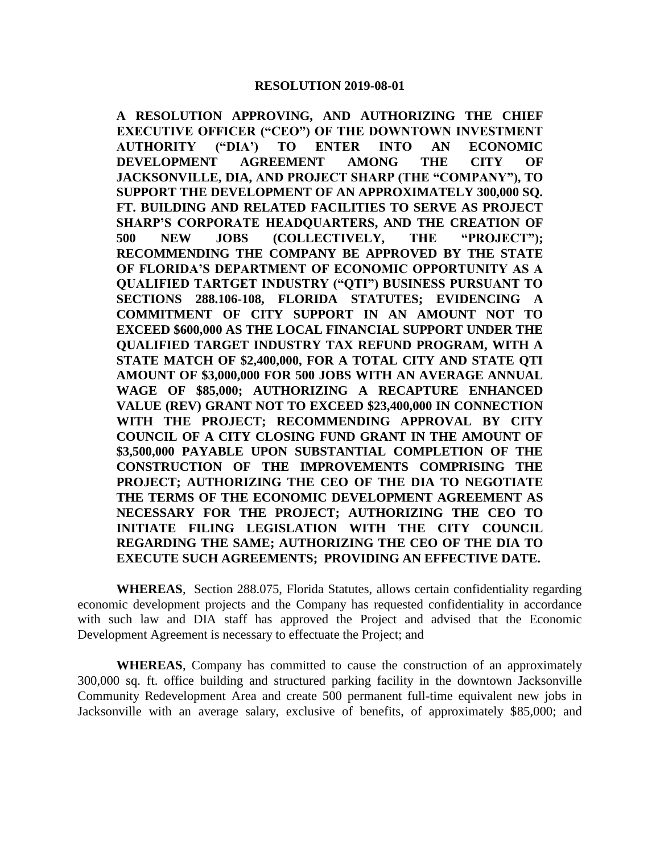**A RESOLUTION APPROVING, AND AUTHORIZING THE CHIEF EXECUTIVE OFFICER ("CEO") OF THE DOWNTOWN INVESTMENT AUTHORITY ("DIA') TO ENTER INTO AN ECONOMIC DEVELOPMENT AGREEMENT AMONG THE CITY OF JACKSONVILLE, DIA, AND PROJECT SHARP (THE "COMPANY"), TO SUPPORT THE DEVELOPMENT OF AN APPROXIMATELY 300,000 SQ. FT. BUILDING AND RELATED FACILITIES TO SERVE AS PROJECT SHARP'S CORPORATE HEADQUARTERS, AND THE CREATION OF 500 NEW JOBS (COLLECTIVELY, THE "PROJECT"); RECOMMENDING THE COMPANY BE APPROVED BY THE STATE OF FLORIDA'S DEPARTMENT OF ECONOMIC OPPORTUNITY AS A QUALIFIED TARTGET INDUSTRY ("QTI") BUSINESS PURSUANT TO SECTIONS 288.106-108, FLORIDA STATUTES; EVIDENCING A COMMITMENT OF CITY SUPPORT IN AN AMOUNT NOT TO EXCEED \$600,000 AS THE LOCAL FINANCIAL SUPPORT UNDER THE QUALIFIED TARGET INDUSTRY TAX REFUND PROGRAM, WITH A STATE MATCH OF \$2,400,000, FOR A TOTAL CITY AND STATE QTI AMOUNT OF \$3,000,000 FOR 500 JOBS WITH AN AVERAGE ANNUAL WAGE OF \$85,000; AUTHORIZING A RECAPTURE ENHANCED VALUE (REV) GRANT NOT TO EXCEED \$23,400,000 IN CONNECTION WITH THE PROJECT; RECOMMENDING APPROVAL BY CITY COUNCIL OF A CITY CLOSING FUND GRANT IN THE AMOUNT OF \$3,500,000 PAYABLE UPON SUBSTANTIAL COMPLETION OF THE CONSTRUCTION OF THE IMPROVEMENTS COMPRISING THE PROJECT; AUTHORIZING THE CEO OF THE DIA TO NEGOTIATE THE TERMS OF THE ECONOMIC DEVELOPMENT AGREEMENT AS NECESSARY FOR THE PROJECT; AUTHORIZING THE CEO TO INITIATE FILING LEGISLATION WITH THE CITY COUNCIL REGARDING THE SAME; AUTHORIZING THE CEO OF THE DIA TO EXECUTE SUCH AGREEMENTS; PROVIDING AN EFFECTIVE DATE.**

**WHEREAS**, Section 288.075, Florida Statutes, allows certain confidentiality regarding economic development projects and the Company has requested confidentiality in accordance with such law and DIA staff has approved the Project and advised that the Economic Development Agreement is necessary to effectuate the Project; and

**WHEREAS**, Company has committed to cause the construction of an approximately 300,000 sq. ft. office building and structured parking facility in the downtown Jacksonville Community Redevelopment Area and create 500 permanent full-time equivalent new jobs in Jacksonville with an average salary, exclusive of benefits, of approximately \$85,000; and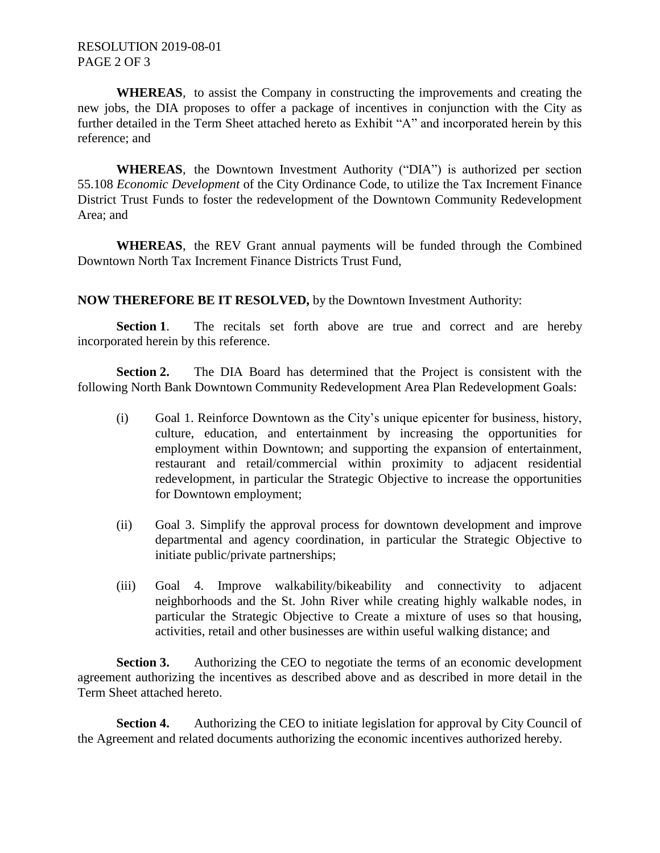## RESOLUTION 2019-08-01 PAGE 2 OF 3

**WHEREAS**, to assist the Company in constructing the improvements and creating the new jobs, the DIA proposes to offer a package of incentives in conjunction with the City as further detailed in the Term Sheet attached hereto as Exhibit "A" and incorporated herein by this reference; and

**WHEREAS**, the Downtown Investment Authority ("DIA") is authorized per section 55.108 *Economic Development* of the City Ordinance Code, to utilize the Tax Increment Finance District Trust Funds to foster the redevelopment of the Downtown Community Redevelopment Area; and

**WHEREAS**, the REV Grant annual payments will be funded through the Combined Downtown North Tax Increment Finance Districts Trust Fund,

**NOW THEREFORE BE IT RESOLVED,** by the Downtown Investment Authority:

Section 1. The recitals set forth above are true and correct and are hereby incorporated herein by this reference.

**Section 2.** The DIA Board has determined that the Project is consistent with the following North Bank Downtown Community Redevelopment Area Plan Redevelopment Goals:

- (i) Goal 1. Reinforce Downtown as the City's unique epicenter for business, history, culture, education, and entertainment by increasing the opportunities for employment within Downtown; and supporting the expansion of entertainment, restaurant and retail/commercial within proximity to adjacent residential redevelopment, in particular the Strategic Objective to increase the opportunities for Downtown employment;
- (ii) Goal 3. Simplify the approval process for downtown development and improve departmental and agency coordination, in particular the Strategic Objective to initiate public/private partnerships;
- (iii) Goal 4. Improve walkability/bikeability and connectivity to adjacent neighborhoods and the St. John River while creating highly walkable nodes, in particular the Strategic Objective to Create a mixture of uses so that housing, activities, retail and other businesses are within useful walking distance; and

**Section 3.** Authorizing the CEO to negotiate the terms of an economic development agreement authorizing the incentives as described above and as described in more detail in the Term Sheet attached hereto.

**Section 4.** Authorizing the CEO to initiate legislation for approval by City Council of the Agreement and related documents authorizing the economic incentives authorized hereby.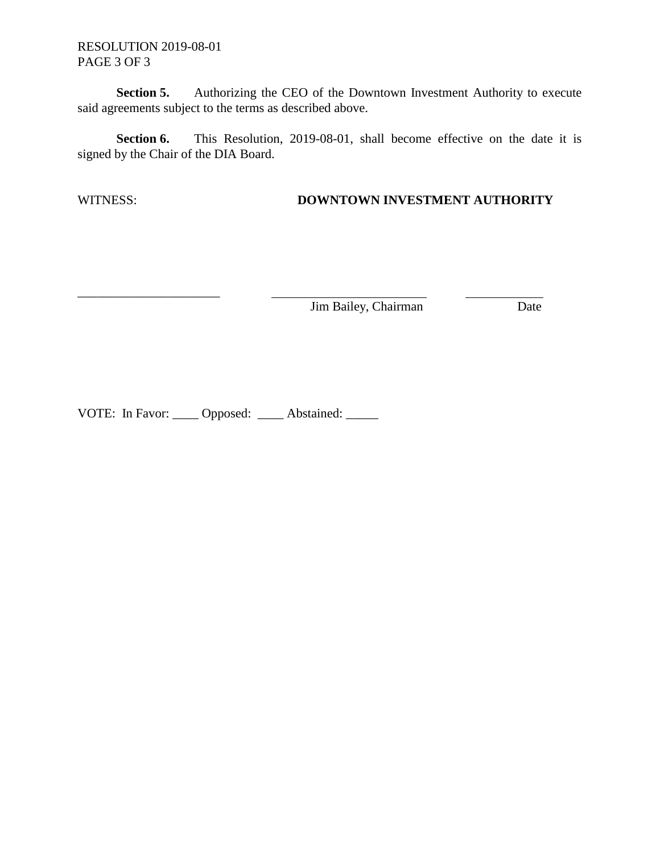RESOLUTION 2019-08-01 PAGE 3 OF 3

\_\_\_\_\_\_\_\_\_\_\_\_\_\_\_\_\_\_\_\_\_\_

**Section 5.** Authorizing the CEO of the Downtown Investment Authority to execute said agreements subject to the terms as described above.

**Section 6.** This Resolution, 2019-08-01, shall become effective on the date it is signed by the Chair of the DIA Board.

## WITNESS: **DOWNTOWN INVESTMENT AUTHORITY**

Jim Bailey, Chairman Date

VOTE: In Favor: \_\_\_\_\_ Opposed: \_\_\_\_\_ Abstained: \_\_\_\_\_